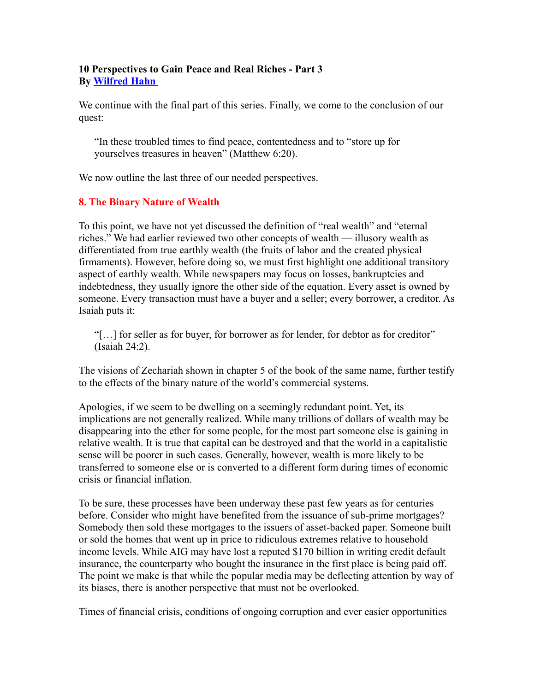# **10 Perspectives to Gain Peace and Real Riches - Part 3 By [Wilfred Hahn](http://www.eternalvalue.com/)**

We continue with the final part of this series. Finally, we come to the conclusion of our quest:

"In these troubled times to find peace, contentedness and to "store up for yourselves treasures in heaven" (Matthew 6:20).

We now outline the last three of our needed perspectives.

# **8. The Binary Nature of Wealth**

To this point, we have not yet discussed the definition of "real wealth" and "eternal riches." We had earlier reviewed two other concepts of wealth — illusory wealth as differentiated from true earthly wealth (the fruits of labor and the created physical firmaments). However, before doing so, we must first highlight one additional transitory aspect of earthly wealth. While newspapers may focus on losses, bankruptcies and indebtedness, they usually ignore the other side of the equation. Every asset is owned by someone. Every transaction must have a buyer and a seller; every borrower, a creditor. As Isaiah puts it:

"[…] for seller as for buyer, for borrower as for lender, for debtor as for creditor" (Isaiah 24:2).

The visions of Zechariah shown in chapter 5 of the book of the same name, further testify to the effects of the binary nature of the world's commercial systems.

Apologies, if we seem to be dwelling on a seemingly redundant point. Yet, its implications are not generally realized. While many trillions of dollars of wealth may be disappearing into the ether for some people, for the most part someone else is gaining in relative wealth. It is true that capital can be destroyed and that the world in a capitalistic sense will be poorer in such cases. Generally, however, wealth is more likely to be transferred to someone else or is converted to a different form during times of economic crisis or financial inflation.

To be sure, these processes have been underway these past few years as for centuries before. Consider who might have benefited from the issuance of sub-prime mortgages? Somebody then sold these mortgages to the issuers of asset-backed paper. Someone built or sold the homes that went up in price to ridiculous extremes relative to household income levels. While AIG may have lost a reputed \$170 billion in writing credit default insurance, the counterparty who bought the insurance in the first place is being paid off. The point we make is that while the popular media may be deflecting attention by way of its biases, there is another perspective that must not be overlooked.

Times of financial crisis, conditions of ongoing corruption and ever easier opportunities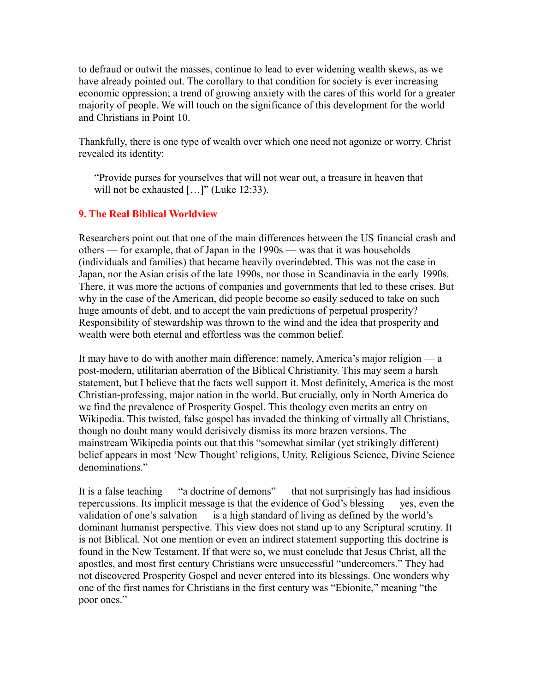to defraud or outwit the masses, continue to lead to ever widening wealth skews, as we have already pointed out. The corollary to that condition for society is ever increasing economic oppression; a trend of growing anxiety with the cares of this world for a greater majority of people. We will touch on the significance of this development for the world and Christians in Point 10.

Thankfully, there is one type of wealth over which one need not agonize or worry. Christ revealed its identity:

"Provide purses for yourselves that will not wear out, a treasure in heaven that will not be exhausted [...]" (Luke 12:33).

# **9. The Real Biblical Worldview**

Researchers point out that one of the main differences between the US financial crash and others — for example, that of Japan in the 1990s — was that it was households (individuals and families) that became heavily overindebted. This was not the case in Japan, nor the Asian crisis of the late 1990s, nor those in Scandinavia in the early 1990s. There, it was more the actions of companies and governments that led to these crises. But why in the case of the American, did people become so easily seduced to take on such huge amounts of debt, and to accept the vain predictions of perpetual prosperity? Responsibility of stewardship was thrown to the wind and the idea that prosperity and wealth were both eternal and effortless was the common belief.

It may have to do with another main difference: namely, America's major religion — a post-modern, utilitarian aberration of the Biblical Christianity. This may seem a harsh statement, but I believe that the facts well support it. Most definitely, America is the most Christian-professing, major nation in the world. But crucially, only in North America do we find the prevalence of Prosperity Gospel. This theology even merits an entry on Wikipedia. This twisted, false gospel has invaded the thinking of virtually all Christians, though no doubt many would derisively dismiss its more brazen versions. The mainstream Wikipedia points out that this "somewhat similar (yet strikingly different) belief appears in most 'New Thought' religions, Unity, Religious Science, Divine Science denominations."

It is a false teaching — "a doctrine of demons" — that not surprisingly has had insidious repercussions. Its implicit message is that the evidence of God's blessing — yes, even the validation of one's salvation — is a high standard of living as defined by the world's dominant humanist perspective. This view does not stand up to any Scriptural scrutiny. It is not Biblical. Not one mention or even an indirect statement supporting this doctrine is found in the New Testament. If that were so, we must conclude that Jesus Christ, all the apostles, and most first century Christians were unsuccessful "undercomers." They had not discovered Prosperity Gospel and never entered into its blessings. One wonders why one of the first names for Christians in the first century was "Ebionite," meaning "the poor ones."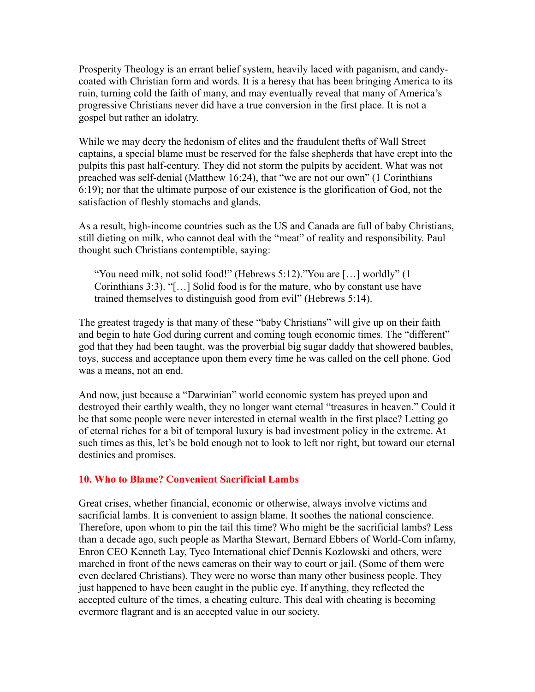Prosperity Theology is an errant belief system, heavily laced with paganism, and candycoated with Christian form and words. It is a heresy that has been bringing America to its ruin, turning cold the faith of many, and may eventually reveal that many of America's progressive Christians never did have a true conversion in the first place. It is not a gospel but rather an idolatry.

While we may decry the hedonism of elites and the fraudulent thefts of Wall Street captains, a special blame must be reserved for the false shepherds that have crept into the pulpits this past half-century. They did not storm the pulpits by accident. What was not preached was self-denial (Matthew 16:24), that "we are not our own" (1 Corinthians 6:19); nor that the ultimate purpose of our existence is the glorification of God, not the satisfaction of fleshly stomachs and glands.

As a result, high-income countries such as the US and Canada are full of baby Christians, still dieting on milk, who cannot deal with the "meat" of reality and responsibility. Paul thought such Christians contemptible, saying:

"You need milk, not solid food!" (Hebrews 5:12)."You are […] worldly" (1 Corinthians 3:3). "[…] Solid food is for the mature, who by constant use have trained themselves to distinguish good from evil" (Hebrews 5:14).

The greatest tragedy is that many of these "baby Christians" will give up on their faith and begin to hate God during current and coming tough economic times. The "different" god that they had been taught, was the proverbial big sugar daddy that showered baubles, toys, success and acceptance upon them every time he was called on the cell phone. God was a means, not an end.

And now, just because a "Darwinian" world economic system has preyed upon and destroyed their earthly wealth, they no longer want eternal "treasures in heaven." Could it be that some people were never interested in eternal wealth in the first place? Letting go of eternal riches for a bit of temporal luxury is bad investment policy in the extreme. At such times as this, let's be bold enough not to look to left nor right, but toward our eternal destinies and promises.

#### **10. Who to Blame? Convenient Sacrificial Lambs**

Great crises, whether financial, economic or otherwise, always involve victims and sacrificial lambs. It is convenient to assign blame. It soothes the national conscience. Therefore, upon whom to pin the tail this time? Who might be the sacrificial lambs? Less than a decade ago, such people as Martha Stewart, Bernard Ebbers of World-Com infamy, Enron CEO Kenneth Lay, Tyco International chief Dennis Kozlowski and others, were marched in front of the news cameras on their way to court or jail. (Some of them were even declared Christians). They were no worse than many other business people. They just happened to have been caught in the public eye. If anything, they reflected the accepted culture of the times, a cheating culture. This deal with cheating is becoming evermore flagrant and is an accepted value in our society.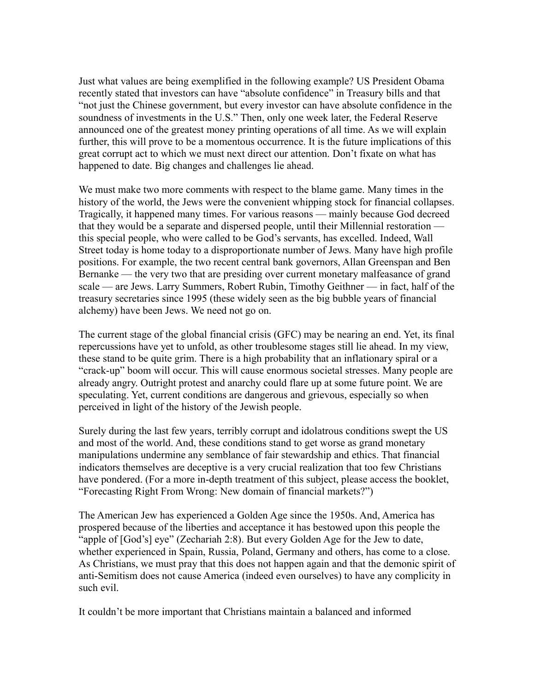Just what values are being exemplified in the following example? US President Obama recently stated that investors can have "absolute confidence" in Treasury bills and that "not just the Chinese government, but every investor can have absolute confidence in the soundness of investments in the U.S." Then, only one week later, the Federal Reserve announced one of the greatest money printing operations of all time. As we will explain further, this will prove to be a momentous occurrence. It is the future implications of this great corrupt act to which we must next direct our attention. Don't fixate on what has happened to date. Big changes and challenges lie ahead.

We must make two more comments with respect to the blame game. Many times in the history of the world, the Jews were the convenient whipping stock for financial collapses. Tragically, it happened many times. For various reasons — mainly because God decreed that they would be a separate and dispersed people, until their Millennial restoration this special people, who were called to be God's servants, has excelled. Indeed, Wall Street today is home today to a disproportionate number of Jews. Many have high profile positions. For example, the two recent central bank governors, Allan Greenspan and Ben Bernanke — the very two that are presiding over current monetary malfeasance of grand scale — are Jews. Larry Summers, Robert Rubin, Timothy Geithner — in fact, half of the treasury secretaries since 1995 (these widely seen as the big bubble years of financial alchemy) have been Jews. We need not go on.

The current stage of the global financial crisis (GFC) may be nearing an end. Yet, its final repercussions have yet to unfold, as other troublesome stages still lie ahead. In my view, these stand to be quite grim. There is a high probability that an inflationary spiral or a "crack-up" boom will occur. This will cause enormous societal stresses. Many people are already angry. Outright protest and anarchy could flare up at some future point. We are speculating. Yet, current conditions are dangerous and grievous, especially so when perceived in light of the history of the Jewish people.

Surely during the last few years, terribly corrupt and idolatrous conditions swept the US and most of the world. And, these conditions stand to get worse as grand monetary manipulations undermine any semblance of fair stewardship and ethics. That financial indicators themselves are deceptive is a very crucial realization that too few Christians have pondered. (For a more in-depth treatment of this subject, please access the booklet, "Forecasting Right From Wrong: New domain of financial markets?")

The American Jew has experienced a Golden Age since the 1950s. And, America has prospered because of the liberties and acceptance it has bestowed upon this people the "apple of [God's] eye" (Zechariah 2:8). But every Golden Age for the Jew to date, whether experienced in Spain, Russia, Poland, Germany and others, has come to a close. As Christians, we must pray that this does not happen again and that the demonic spirit of anti-Semitism does not cause America (indeed even ourselves) to have any complicity in such evil.

It couldn't be more important that Christians maintain a balanced and informed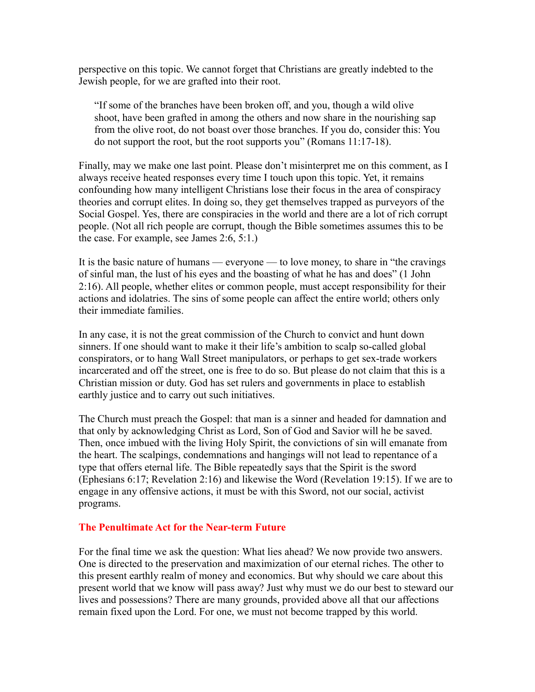perspective on this topic. We cannot forget that Christians are greatly indebted to the Jewish people, for we are grafted into their root.

"If some of the branches have been broken off, and you, though a wild olive shoot, have been grafted in among the others and now share in the nourishing sap from the olive root, do not boast over those branches. If you do, consider this: You do not support the root, but the root supports you" (Romans 11:17-18).

Finally, may we make one last point. Please don't misinterpret me on this comment, as I always receive heated responses every time I touch upon this topic. Yet, it remains confounding how many intelligent Christians lose their focus in the area of conspiracy theories and corrupt elites. In doing so, they get themselves trapped as purveyors of the Social Gospel. Yes, there are conspiracies in the world and there are a lot of rich corrupt people. (Not all rich people are corrupt, though the Bible sometimes assumes this to be the case. For example, see James 2:6, 5:1.)

It is the basic nature of humans — everyone — to love money, to share in "the cravings of sinful man, the lust of his eyes and the boasting of what he has and does" (1 John 2:16). All people, whether elites or common people, must accept responsibility for their actions and idolatries. The sins of some people can affect the entire world; others only their immediate families.

In any case, it is not the great commission of the Church to convict and hunt down sinners. If one should want to make it their life's ambition to scalp so-called global conspirators, or to hang Wall Street manipulators, or perhaps to get sex-trade workers incarcerated and off the street, one is free to do so. But please do not claim that this is a Christian mission or duty. God has set rulers and governments in place to establish earthly justice and to carry out such initiatives.

The Church must preach the Gospel: that man is a sinner and headed for damnation and that only by acknowledging Christ as Lord, Son of God and Savior will he be saved. Then, once imbued with the living Holy Spirit, the convictions of sin will emanate from the heart. The scalpings, condemnations and hangings will not lead to repentance of a type that offers eternal life. The Bible repeatedly says that the Spirit is the sword (Ephesians 6:17; Revelation 2:16) and likewise the Word (Revelation 19:15). If we are to engage in any offensive actions, it must be with this Sword, not our social, activist programs.

### **The Penultimate Act for the Near-term Future**

For the final time we ask the question: What lies ahead? We now provide two answers. One is directed to the preservation and maximization of our eternal riches. The other to this present earthly realm of money and economics. But why should we care about this present world that we know will pass away? Just why must we do our best to steward our lives and possessions? There are many grounds, provided above all that our affections remain fixed upon the Lord. For one, we must not become trapped by this world.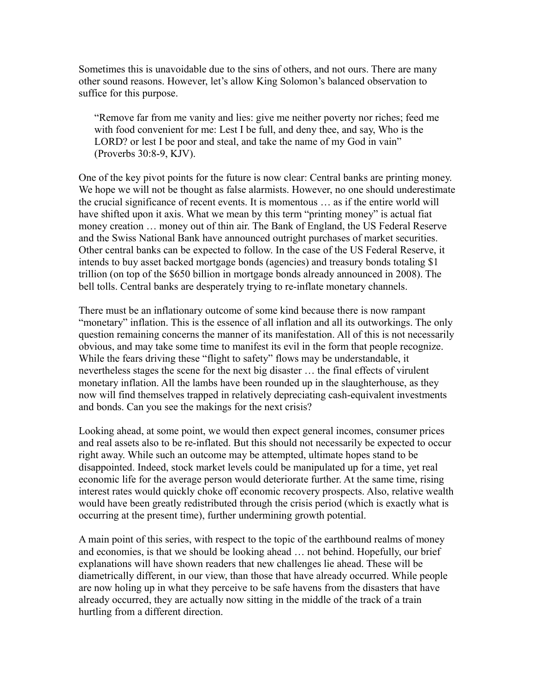Sometimes this is unavoidable due to the sins of others, and not ours. There are many other sound reasons. However, let's allow King Solomon's balanced observation to suffice for this purpose.

"Remove far from me vanity and lies: give me neither poverty nor riches; feed me with food convenient for me: Lest I be full, and deny thee, and say, Who is the LORD? or lest I be poor and steal, and take the name of my God in vain" (Proverbs 30:8-9, KJV).

One of the key pivot points for the future is now clear: Central banks are printing money. We hope we will not be thought as false alarmists. However, no one should underestimate the crucial significance of recent events. It is momentous … as if the entire world will have shifted upon it axis. What we mean by this term "printing money" is actual fiat money creation … money out of thin air. The Bank of England, the US Federal Reserve and the Swiss National Bank have announced outright purchases of market securities. Other central banks can be expected to follow. In the case of the US Federal Reserve, it intends to buy asset backed mortgage bonds (agencies) and treasury bonds totaling \$1 trillion (on top of the \$650 billion in mortgage bonds already announced in 2008). The bell tolls. Central banks are desperately trying to re-inflate monetary channels.

There must be an inflationary outcome of some kind because there is now rampant "monetary" inflation. This is the essence of all inflation and all its outworkings. The only question remaining concerns the manner of its manifestation. All of this is not necessarily obvious, and may take some time to manifest its evil in the form that people recognize. While the fears driving these "flight to safety" flows may be understandable, it nevertheless stages the scene for the next big disaster … the final effects of virulent monetary inflation. All the lambs have been rounded up in the slaughterhouse, as they now will find themselves trapped in relatively depreciating cash-equivalent investments and bonds. Can you see the makings for the next crisis?

Looking ahead, at some point, we would then expect general incomes, consumer prices and real assets also to be re-inflated. But this should not necessarily be expected to occur right away. While such an outcome may be attempted, ultimate hopes stand to be disappointed. Indeed, stock market levels could be manipulated up for a time, yet real economic life for the average person would deteriorate further. At the same time, rising interest rates would quickly choke off economic recovery prospects. Also, relative wealth would have been greatly redistributed through the crisis period (which is exactly what is occurring at the present time), further undermining growth potential.

A main point of this series, with respect to the topic of the earthbound realms of money and economies, is that we should be looking ahead … not behind. Hopefully, our brief explanations will have shown readers that new challenges lie ahead. These will be diametrically different, in our view, than those that have already occurred. While people are now holing up in what they perceive to be safe havens from the disasters that have already occurred, they are actually now sitting in the middle of the track of a train hurtling from a different direction.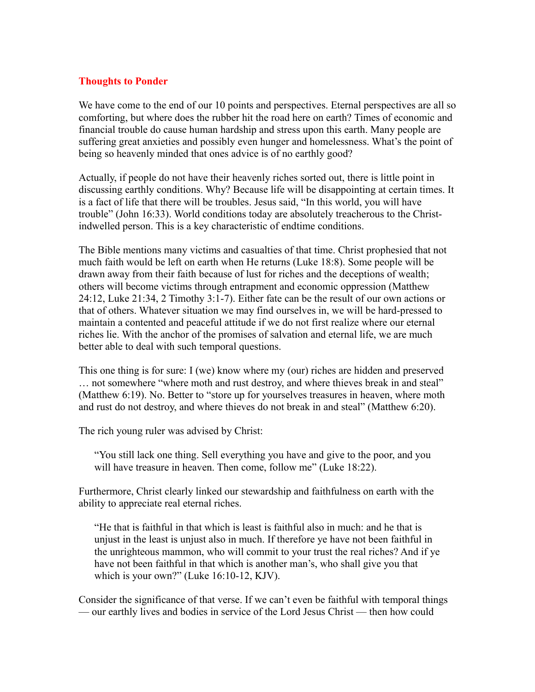### **Thoughts to Ponder**

We have come to the end of our 10 points and perspectives. Eternal perspectives are all so comforting, but where does the rubber hit the road here on earth? Times of economic and financial trouble do cause human hardship and stress upon this earth. Many people are suffering great anxieties and possibly even hunger and homelessness. What's the point of being so heavenly minded that ones advice is of no earthly good?

Actually, if people do not have their heavenly riches sorted out, there is little point in discussing earthly conditions. Why? Because life will be disappointing at certain times. It is a fact of life that there will be troubles. Jesus said, "In this world, you will have trouble" (John 16:33). World conditions today are absolutely treacherous to the Christindwelled person. This is a key characteristic of endtime conditions.

The Bible mentions many victims and casualties of that time. Christ prophesied that not much faith would be left on earth when He returns (Luke 18:8). Some people will be drawn away from their faith because of lust for riches and the deceptions of wealth; others will become victims through entrapment and economic oppression (Matthew 24:12, Luke 21:34, 2 Timothy 3:1-7). Either fate can be the result of our own actions or that of others. Whatever situation we may find ourselves in, we will be hard-pressed to maintain a contented and peaceful attitude if we do not first realize where our eternal riches lie. With the anchor of the promises of salvation and eternal life, we are much better able to deal with such temporal questions.

This one thing is for sure: I (we) know where my (our) riches are hidden and preserved … not somewhere "where moth and rust destroy, and where thieves break in and steal" (Matthew 6:19). No. Better to "store up for yourselves treasures in heaven, where moth and rust do not destroy, and where thieves do not break in and steal" (Matthew 6:20).

The rich young ruler was advised by Christ:

"You still lack one thing. Sell everything you have and give to the poor, and you will have treasure in heaven. Then come, follow me" (Luke 18:22).

Furthermore, Christ clearly linked our stewardship and faithfulness on earth with the ability to appreciate real eternal riches.

"He that is faithful in that which is least is faithful also in much: and he that is unjust in the least is unjust also in much. If therefore ye have not been faithful in the unrighteous mammon, who will commit to your trust the real riches? And if ye have not been faithful in that which is another man's, who shall give you that which is your own?" (Luke 16:10-12, KJV).

Consider the significance of that verse. If we can't even be faithful with temporal things — our earthly lives and bodies in service of the Lord Jesus Christ — then how could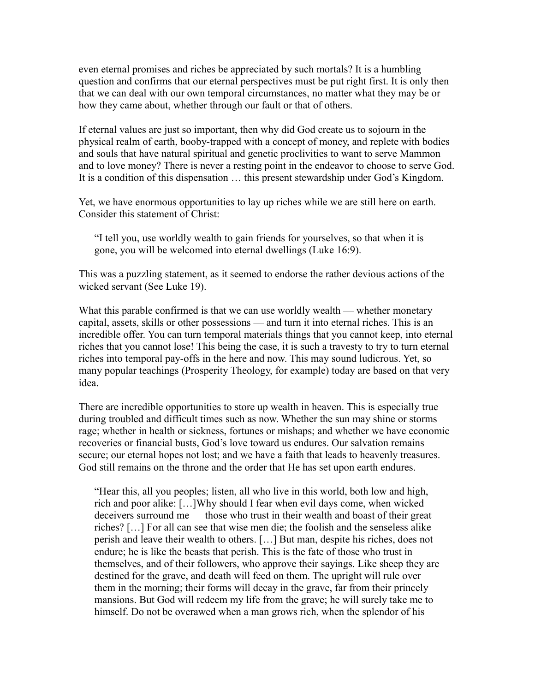even eternal promises and riches be appreciated by such mortals? It is a humbling question and confirms that our eternal perspectives must be put right first. It is only then that we can deal with our own temporal circumstances, no matter what they may be or how they came about, whether through our fault or that of others.

If eternal values are just so important, then why did God create us to sojourn in the physical realm of earth, booby-trapped with a concept of money, and replete with bodies and souls that have natural spiritual and genetic proclivities to want to serve Mammon and to love money? There is never a resting point in the endeavor to choose to serve God. It is a condition of this dispensation … this present stewardship under God's Kingdom.

Yet, we have enormous opportunities to lay up riches while we are still here on earth. Consider this statement of Christ:

"I tell you, use worldly wealth to gain friends for yourselves, so that when it is gone, you will be welcomed into eternal dwellings (Luke 16:9).

This was a puzzling statement, as it seemed to endorse the rather devious actions of the wicked servant (See Luke 19).

What this parable confirmed is that we can use worldly wealth — whether monetary capital, assets, skills or other possessions — and turn it into eternal riches. This is an incredible offer. You can turn temporal materials things that you cannot keep, into eternal riches that you cannot lose! This being the case, it is such a travesty to try to turn eternal riches into temporal pay-offs in the here and now. This may sound ludicrous. Yet, so many popular teachings (Prosperity Theology, for example) today are based on that very idea.

There are incredible opportunities to store up wealth in heaven. This is especially true during troubled and difficult times such as now. Whether the sun may shine or storms rage; whether in health or sickness, fortunes or mishaps; and whether we have economic recoveries or financial busts, God's love toward us endures. Our salvation remains secure; our eternal hopes not lost; and we have a faith that leads to heavenly treasures. God still remains on the throne and the order that He has set upon earth endures.

"Hear this, all you peoples; listen, all who live in this world, both low and high, rich and poor alike: […]Why should I fear when evil days come, when wicked deceivers surround me — those who trust in their wealth and boast of their great riches? […] For all can see that wise men die; the foolish and the senseless alike perish and leave their wealth to others. […] But man, despite his riches, does not endure; he is like the beasts that perish. This is the fate of those who trust in themselves, and of their followers, who approve their sayings. Like sheep they are destined for the grave, and death will feed on them. The upright will rule over them in the morning; their forms will decay in the grave, far from their princely mansions. But God will redeem my life from the grave; he will surely take me to himself. Do not be overawed when a man grows rich, when the splendor of his